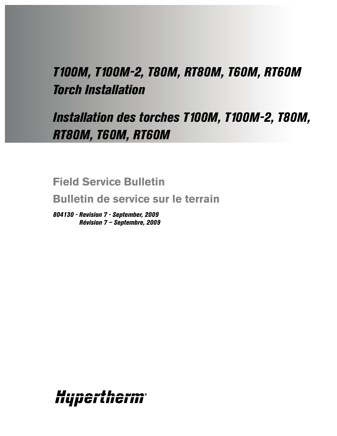# *T100M, T100M-2, T80M, RT80M, T60M, RT60M Torch Installation*

# *Installation des torches T100M, T100M-2, T80M, RT80M, T60M, RT60M*

**Field Service Bulletin**

**Bulletin de service sur le terrain**

*804130 - Revision 7 - September, 2009 Révision 7 – Septembre, 2009*

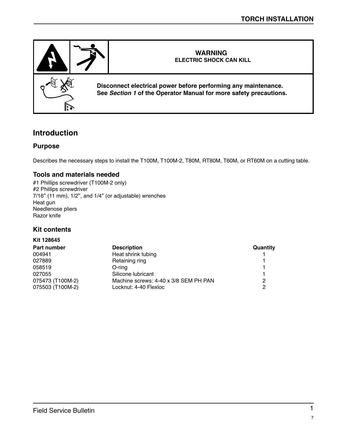

# **Introduction**

#### **Purpose**

Describes the necessary steps to install the T100M, T100M-2, T80M, RT80M, T60M, or RT60M on a cutting table.

#### **Tools and materials needed**

#1 Phillips screwdriver (T100M-2 only) #2 Phillips screwdriver 7/16" (11 mm), 1/2", and 1/4" (or adjustable) wrenches Heat gun Needlenose pliers Razor knife

#### **Kit contents**

**Kit 128645**

| .                  |                                       |          |
|--------------------|---------------------------------------|----------|
| <b>Part number</b> | <b>Description</b>                    | Quantity |
| 004941             | Heat shrink tubing                    |          |
| 027889             | Retaining ring                        |          |
| 058519             | O-rina                                |          |
| 027055             | Silicone lubricant                    |          |
| 075473 (T100M-2)   | Machine screws: 4-40 x 3/8 SEM PH PAN | 2        |
| 075503 (T100M-2)   | Locknut: 4-40 Flexloc                 | 2        |
|                    |                                       |          |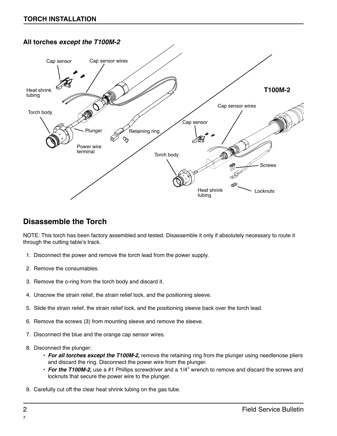### **All torches except the T100M-2**



# **Disassemble the Torch**

NOTE: This torch has been factory assembled and tested. Disassemble it only if absolutely necessary to route it through the cutting table's track.

- 1. Disconnect the power and remove the torch lead from the power supply.
- 2. Remove the consumables.
- 3. Remove the o-ring from the torch body and discard it.
- 4. Unscrew the strain relief, the strain relief lock, and the positioning sleeve.
- 5. Slide the strain relief, the strain relief lock, and the positioning sleeve back over the torch lead.
- 6. Remove the screws (3) from mounting sleeve and remove the sleeve.
- 7. Disconnect the blue and the orange cap sensor wires.
- 8. Disconnect the plunger:
	- **For all torches except the T100M-2,** remove the retaining ring from the plunger using needlenose pliers and discard the ring. Disconnect the power wire from the plunger.
	- **For the T100M-2,** use a #1 Phillips screwdriver and a 1/4" wrench to remove and discard the screws and locknuts that secure the power wire to the plunger.
- 9. Carefully cut off the clear heat shrink tubing on the gas tube.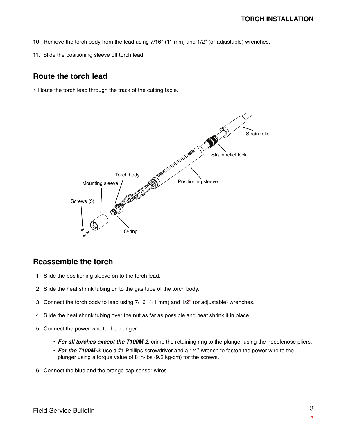- 10. Remove the torch body from the lead using 7/16" (11 mm) and 1/2" (or adjustable) wrenches.
- 11. Slide the positioning sleeve off torch lead.

## **Route the torch lead**

• Route the torch lead through the track of the cutting table.



## **Reassemble the torch**

- 1. Slide the positioning sleeve on to the torch lead.
- 2. Slide the heat shrink tubing on to the gas tube of the torch body.
- 3. Connect the torch body to lead using 7/16" (11 mm) and 1/2" (or adjustable) wrenches.
- 4. Slide the heat shrink tubing over the nut as far as possible and heat shrink it in place.
- 5. Connect the power wire to the plunger:
	- **For all torches except the T100M-2,** crimp the retaining ring to the plunger using the needlenose pliers.
	- **For the T100M-2,** use a #1 Phillips screwdriver and a 1/4" wrench to fasten the power wire to the plunger using a torque value of 8 in-lbs (9.2 kg-cm) for the screws.
- 6. Connect the blue and the orange cap sensor wires.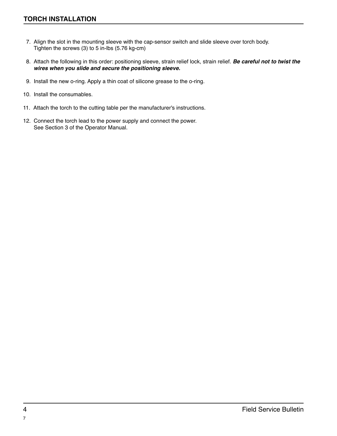- 7. Align the slot in the mounting sleeve with the cap-sensor switch and slide sleeve over torch body. Tighten the screws (3) to 5 in-lbs (5.76 kg-cm)
- 8. Attach the following in this order: positioning sleeve, strain relief lock, strain relief. **Be careful not to twist the wires when you slide and secure the positioning sleeve.**
- 9. Install the new o-ring. Apply a thin coat of silicone grease to the o-ring.
- 10. Install the consumables.
- 11. Attach the torch to the cutting table per the manufacturer's instructions.
- 12. Connect the torch lead to the power supply and connect the power. See Section 3 of the Operator Manual.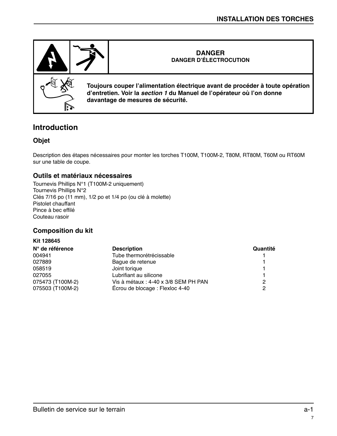

# **Introduction**

### **Objet**

Description des étapes nécessaires pour monter les torches T100M, T100M-2, T80M, RT80M, T60M ou RT60M sur une table de coupe.

#### **Outils et matériaux nécessaires**

Tournevis Phillips N°1 (T100M-2 uniquement) Tournevis Phillips N°2 Clés 7/16 po (11 mm), 1/2 po et 1/4 po (ou clé à molette) Pistolet chauffant Pince à bec effilé Couteau rasoir

### **Composition du kit**

| Kit 128645       |                                      |          |
|------------------|--------------------------------------|----------|
| N° de référence  | <b>Description</b>                   | Quantité |
| 004941           | Tube thermorétrécissable             |          |
| 027889           | Bague de retenue                     |          |
| 058519           | Joint torique                        |          |
| 027055           | Lubrifiant au silicone               |          |
| 075473 (T100M-2) | Vis à métaux : 4-40 x 3/8 SEM PH PAN | 2        |
| 075503 (T100M-2) | Écrou de blocage : Flexloc 4-40      |          |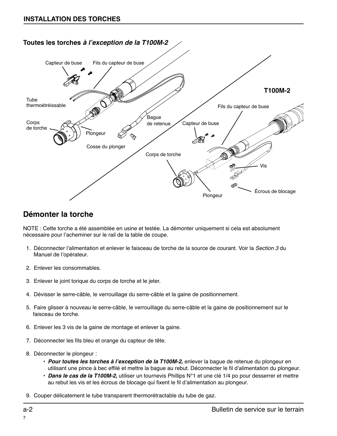

# **Démonter la torche**

NOTE : Cette torche a été assemblée en usine et testée. La démonter uniquement si cela est absolument nécessaire pour l'acheminer sur le rail de la table de coupe.

- 1. Déconnecter l'alimentation et enlever le faisceau de torche de la source de courant. Voir la Section 3 du Manuel de l'opérateur.
- 2. Enlever les consommables.
- 3. Enlever le joint torique du corps de torche et le jeter.
- 4. Dévisser le serre-câble, le verrouillage du serre-câble et la gaine de positionnement.
- 5. Faire glisser à nouveau le serre-câble, le verrouillage du serre-câble et la gaine de positionnement sur le faisceau de torche.
- 6. Enlever les 3 vis de la gaine de montage et enlever la gaine.
- 7. Déconnecter les fils bleu et orange du capteur de tête.
- 8. Déconnecter le plongeur :
	- **Pour toutes les torches à l'exception de la T100M-2,** enlever la bague de retenue du plongeur en utilisant une pince à bec effilé et mettre la bague au rebut. Déconnecter le fil d'alimentation du plongeur.
	- **Dans le cas de la T100M-2,** utiliser un tournevis Phillips N°1 et une clé 1/4 po pour desserrer et mettre au rebut les vis et les écrous de blocage qui fixent le fil d'alimentation au plongeur.
- 9. Couper délicatement le tube transparent thermorétractable du tube de gaz.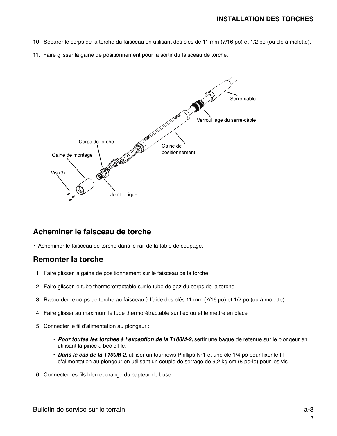- 10. Séparer le corps de la torche du faisceau en utilisant des clés de 11 mm (7/16 po) et 1/2 po (ou clé à molette).
- 11. Faire glisser la gaine de positionnement pour la sortir du faisceau de torche.



## **Acheminer le faisceau de torche**

• Acheminer le faisceau de torche dans le rail de la table de coupage.

# **Remonter la torche**

- 1. Faire glisser la gaine de positionnement sur le faisceau de la torche.
- 2. Faire glisser le tube thermorétractable sur le tube de gaz du corps de la torche.
- 3. Raccorder le corps de torche au faisceau à l'aide des clés 11 mm (7/16 po) et 1/2 po (ou à molette).
- 4. Faire glisser au maximum le tube thermorétractable sur l'écrou et le mettre en place
- 5. Connecter le fil d'alimentation au plongeur :
	- **Pour toutes les torches à l'exception de la T100M-2,** sertir une bague de retenue sur le plongeur en utilisant la pince à bec effilé.
	- **Dans le cas de la T100M-2,** utiliser un tournevis Phillips N°1 et une clé 1/4 po pour fixer le fil d'alimentation au plongeur en utilisant un couple de serrage de 9,2 kg cm (8 po-lb) pour les vis.
- 6. Connecter les fils bleu et orange du capteur de buse.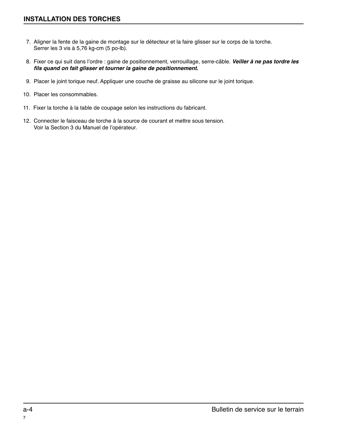- 7. Aligner la fente de la gaine de montage sur le détecteur et la faire glisser sur le corps de la torche. Serrer les 3 vis à 5,76 kg-cm (5 po-lb).
- 8. Fixer ce qui suit dans l'ordre : gaine de positionnement, verrouillage, serre-câble. **Veiller à ne pas tordre les fils quand on fait glisser et tourner la gaine de positionnement.**
- 9. Placer le joint torique neuf. Appliquer une couche de graisse au silicone sur le joint torique.
- 10. Placer les consommables.
- 11. Fixer la torche à la table de coupage selon les instructions du fabricant.
- 12. Connecter le faisceau de torche à la source de courant et mettre sous tension. Voir la Section 3 du Manuel de l'opérateur.